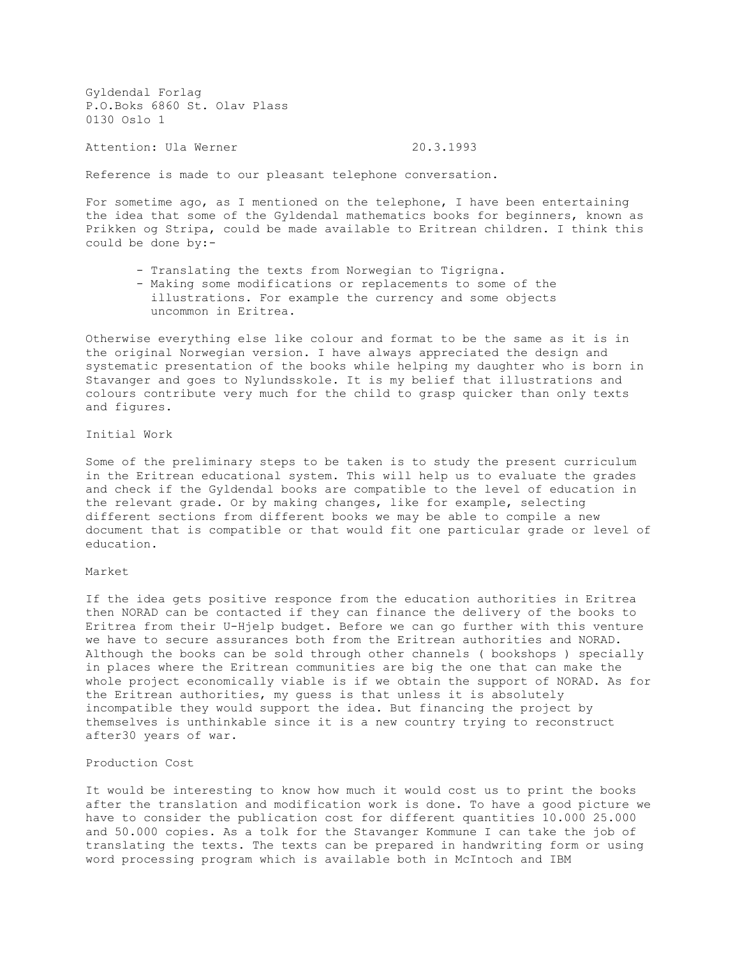Gyldendal Forlag P.O.Boks 6860 St. Olav Plass 0130 Oslo 1

Attention: Ula Werner 20.3.1993

Reference is made to our pleasant telephone conversation.

For sometime ago, as I mentioned on the telephone, I have been entertaining the idea that some of the Gyldendal mathematics books for beginners, known as Prikken og Stripa, could be made available to Eritrean children. I think this could be done by:-

- Translating the texts from Norwegian to Tigrigna.
- Making some modifications or replacements to some of the illustrations. For example the currency and some objects uncommon in Eritrea.

Otherwise everything else like colour and format to be the same as it is in the original Norwegian version. I have always appreciated the design and systematic presentation of the books while helping my daughter who is born in Stavanger and goes to Nylundsskole. It is my belief that illustrations and colours contribute very much for the child to grasp quicker than only texts and figures.

## Initial Work

Some of the preliminary steps to be taken is to study the present curriculum in the Eritrean educational system. This will help us to evaluate the grades and check if the Gyldendal books are compatible to the level of education in the relevant grade. Or by making changes, like for example, selecting different sections from different books we may be able to compile a new document that is compatible or that would fit one particular grade or level of education.

## Market

If the idea gets positive responce from the education authorities in Eritrea then NORAD can be contacted if they can finance the delivery of the books to Eritrea from their U-Hjelp budget. Before we can go further with this venture we have to secure assurances both from the Eritrean authorities and NORAD. Although the books can be sold through other channels ( bookshops ) specially in places where the Eritrean communities are big the one that can make the whole project economically viable is if we obtain the support of NORAD. As for the Eritrean authorities, my guess is that unless it is absolutely incompatible they would support the idea. But financing the project by themselves is unthinkable since it is a new country trying to reconstruct after30 years of war.

## Production Cost

It would be interesting to know how much it would cost us to print the books after the translation and modification work is done. To have a good picture we have to consider the publication cost for different quantities 10.000 25.000 and 50.000 copies. As a tolk for the Stavanger Kommune I can take the job of translating the texts. The texts can be prepared in handwriting form or using word processing program which is available both in McIntoch and IBM